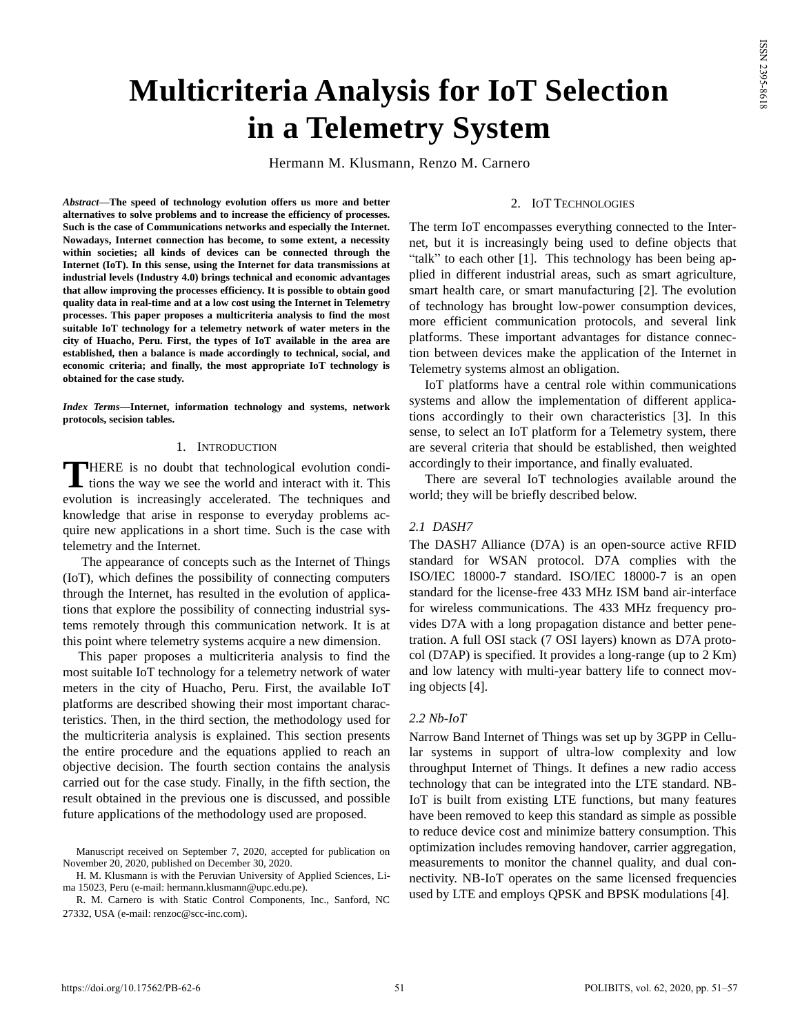# **Multicriteria Analysis for IoT Selection in a Telemetry System**

Hermann M. Klusmann, Renzo M. Carnero

*Abstract***—The speed of technology evolution offers us more and better alternatives to solve problems and to increase the efficiency of processes. Such is the case of Communications networks and especially the Internet. Nowadays, Internet connection has become, to some extent, a necessity within societies; all kinds of devices can be connected through the Internet (IoT). In this sense, using the Internet for data transmissions at industrial levels (Industry 4.0) brings technical and economic advantages that allow improving the processes efficiency. It is possible to obtain good quality data in real-time and at a low cost using the Internet in Telemetry processes. This paper proposes a multicriteria analysis to find the most suitable IoT technology for a telemetry network of water meters in the city of Huacho, Peru. First, the types of IoT available in the area are established, then a balance is made accordingly to technical, social, and economic criteria; and finally, the most appropriate IoT technology is obtained for the case study.**

*Index Terms***—Internet, information technology and systems, network protocols, secision tables.**

## 1. INTRODUCTION

HERE is no doubt that technological evolution condi-**THERE** is no doubt that technological evolution conditions the way we see the world and interact with it. This evolution is increasingly accelerated. The techniques and knowledge that arise in response to everyday problems acquire new applications in a short time. Such is the case with telemetry and the Internet.

The appearance of concepts such as the Internet of Things (IoT), which defines the possibility of connecting computers through the Internet, has resulted in the evolution of applications that explore the possibility of connecting industrial systems remotely through this communication network. It is at this point where telemetry systems acquire a new dimension.

This paper proposes a multicriteria analysis to find the most suitable IoT technology for a telemetry network of water meters in the city of Huacho, Peru. First, the available IoT platforms are described showing their most important characteristics. Then, in the third section, the methodology used for the multicriteria analysis is explained. This section presents the entire procedure and the equations applied to reach an objective decision. The fourth section contains the analysis carried out for the case study. Finally, in the fifth section, the result obtained in the previous one is discussed, and possible future applications of the methodology used are proposed.

#### 2. IOT TECHNOLOGIES

The term IoT encompasses everything connected to the Internet, but it is increasingly being used to define objects that "talk" to each other [1]. This technology has been being applied in different industrial areas, such as smart agriculture, smart health care, or smart manufacturing [2]. The evolution of technology has brought low-power consumption devices, more efficient communication protocols, and several link platforms. These important advantages for distance connection between devices make the application of the Internet in Telemetry systems almost an obligation.

IoT platforms have a central role within communications systems and allow the implementation of different applications accordingly to their own characteristics [3]. In this sense, to select an IoT platform for a Telemetry system, there are several criteria that should be established, then weighted accordingly to their importance, and finally evaluated.

There are several IoT technologies available around the world; they will be briefly described below.

# *2.1 DASH7*

The DASH7 Alliance (D7A) is an open-source active RFID standard for WSAN protocol. D7A complies with the ISO/IEC 18000-7 standard. ISO/IEC 18000-7 is an open standard for the license-free 433 MHz ISM band air-interface for wireless communications. The 433 MHz frequency provides D7A with a long propagation distance and better penetration. A full OSI stack (7 OSI layers) known as D7A protocol (D7AP) is specified. It provides a long-range (up to 2 Km) and low latency with multi-year battery life to connect moving objects [4].

#### *2.2 Nb-IoT*

Narrow Band Internet of Things was set up by 3GPP in Cellular systems in support of ultra-low complexity and low throughput Internet of Things. It defines a new radio access technology that can be integrated into the LTE standard. NB-IoT is built from existing LTE functions, but many features have been removed to keep this standard as simple as possible to reduce device cost and minimize battery consumption. This optimization includes removing handover, carrier aggregation, measurements to monitor the channel quality, and dual connectivity. NB-IoT operates on the same licensed frequencies used by LTE and employs QPSK and BPSK modulations [4].

Manuscript received on September 7, 2020, accepted for publication on November 20, 2020, published on December 30, 2020.

H. M. Klusmann is with the Peruvian University of Applied Sciences, Lima 15023, Peru (e-mail: [hermann.klusmann@upc.edu.pe\)](mailto:hermann.klusmann@upc.edu.pe).

R. M. Carnero is with Static Control Components, Inc., Sanford, NC 27332, USA (e-mail[: renzoc@scc-inc.com\)](mailto:renzoc@scc-inc.com).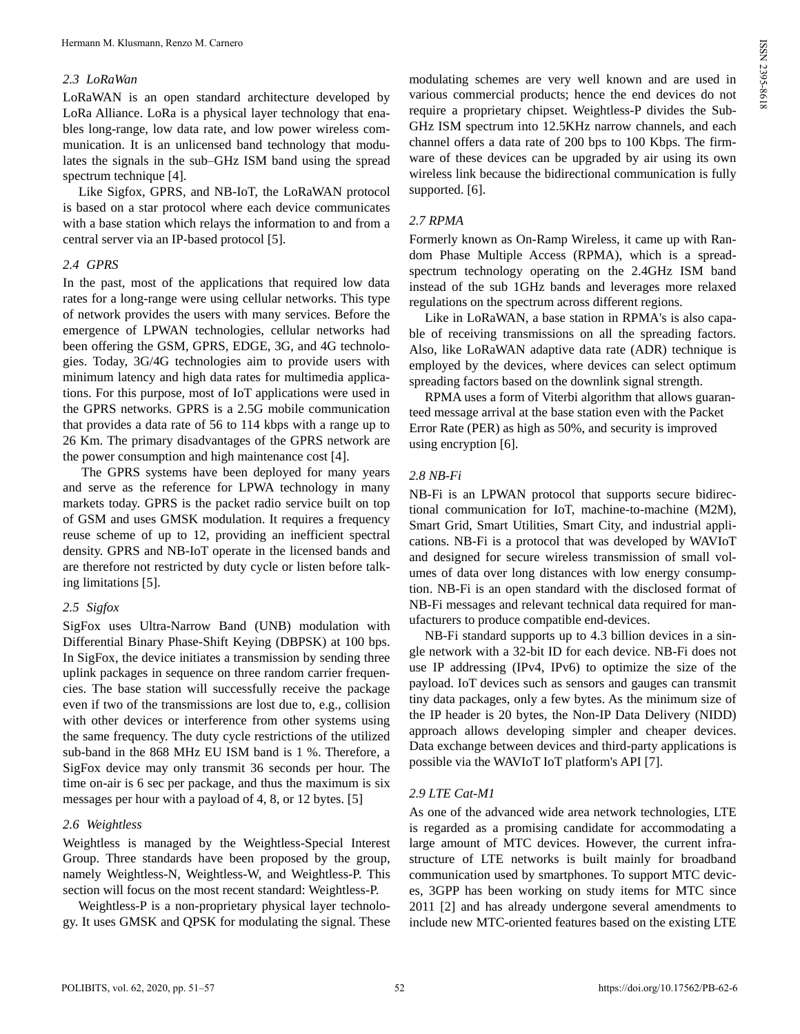## *2.3 LoRaWan*

LoRaWAN is an open standard architecture developed by LoRa Alliance. LoRa is a physical layer technology that enables long-range, low data rate, and low power wireless communication. It is an unlicensed band technology that modulates the signals in the sub–GHz ISM band using the spread spectrum technique [4].

Like Sigfox, GPRS, and NB-IoT, the LoRaWAN protocol is based on a star protocol where each device communicates with a base station which relays the information to and from a central server via an IP-based protocol [5].

#### *2.4 GPRS*

In the past, most of the applications that required low data rates for a long-range were using cellular networks. This type of network provides the users with many services. Before the emergence of LPWAN technologies, cellular networks had been offering the GSM, GPRS, EDGE, 3G, and 4G technologies. Today, 3G/4G technologies aim to provide users with minimum latency and high data rates for multimedia applications. For this purpose, most of IoT applications were used in the GPRS networks. GPRS is a 2.5G mobile communication that provides a data rate of 56 to 114 kbps with a range up to 26 Km. The primary disadvantages of the GPRS network are the power consumption and high maintenance cost [4].

The GPRS systems have been deployed for many years and serve as the reference for LPWA technology in many markets today. GPRS is the packet radio service built on top of GSM and uses GMSK modulation. It requires a frequency reuse scheme of up to 12, providing an inefficient spectral density. GPRS and NB-IoT operate in the licensed bands and are therefore not restricted by duty cycle or listen before talking limitations [5].

#### *2.5 Sigfox*

SigFox uses Ultra-Narrow Band (UNB) modulation with Differential Binary Phase-Shift Keying (DBPSK) at 100 bps. In SigFox, the device initiates a transmission by sending three uplink packages in sequence on three random carrier frequencies. The base station will successfully receive the package even if two of the transmissions are lost due to, e.g., collision with other devices or interference from other systems using the same frequency. The duty cycle restrictions of the utilized sub-band in the 868 MHz EU ISM band is 1 %. Therefore, a SigFox device may only transmit 36 seconds per hour. The time on-air is 6 sec per package, and thus the maximum is six messages per hour with a payload of 4, 8, or 12 bytes. [5]

## *2.6 Weightless*

Weightless is managed by the Weightless-Special Interest Group. Three standards have been proposed by the group, namely Weightless-N, Weightless-W, and Weightless-P. This section will focus on the most recent standard: Weightless-P.

Weightless-P is a non-proprietary physical layer technology. It uses GMSK and QPSK for modulating the signal. These

modulating schemes are very well known and are used in various commercial products; hence the end devices do not require a proprietary chipset. Weightless-P divides the Sub-GHz ISM spectrum into 12.5KHz narrow channels, and each channel offers a data rate of 200 bps to 100 Kbps. The firmware of these devices can be upgraded by air using its own wireless link because the bidirectional communication is fully supported. [6].

## *2.7 RPMA*

Formerly known as On-Ramp Wireless, it came up with Random Phase Multiple Access (RPMA), which is a spreadspectrum technology operating on the 2.4GHz ISM band instead of the sub 1GHz bands and leverages more relaxed regulations on the spectrum across different regions.

Like in LoRaWAN, a base station in RPMA's is also capable of receiving transmissions on all the spreading factors. Also, like LoRaWAN adaptive data rate (ADR) technique is employed by the devices, where devices can select optimum spreading factors based on the downlink signal strength.

RPMA uses a form of Viterbi algorithm that allows guaranteed message arrival at the base station even with the Packet Error Rate (PER) as high as 50%, and security is improved using encryption [6].

## *2.8 NB-Fi*

NB-Fi is an LPWAN protocol that supports secure bidirectional communication for IoT, machine-to-machine (M2M), Smart Grid, Smart Utilities, Smart City, and industrial applications. NB-Fi is a protocol that was developed by WAVIoT and designed for secure wireless transmission of small volumes of data over long distances with low energy consumption. NB-Fi is an open standard with the disclosed format of NB-Fi messages and relevant technical data required for manufacturers to produce compatible end-devices.

NB-Fi standard supports up to 4.3 billion devices in a single network with a 32-bit ID for each device. NB-Fi does not use IP addressing (IPv4, IPv6) to optimize the size of the payload. IoT devices such as sensors and gauges can transmit tiny data packages, only a few bytes. As the minimum size of the IP header is 20 bytes, the Non-IP Data Delivery (NIDD) approach allows developing simpler and cheaper devices. Data exchange between devices and third-party applications is possible via the WAVIoT IoT platform's API [7].

# *2.9 LTE Cat-M1*

As one of the advanced wide area network technologies, LTE is regarded as a promising candidate for accommodating a large amount of MTC devices. However, the current infrastructure of LTE networks is built mainly for broadband communication used by smartphones. To support MTC devices, 3GPP has been working on study items for MTC since 2011 [2] and has already undergone several amendments to include new MTC-oriented features based on the existing LTE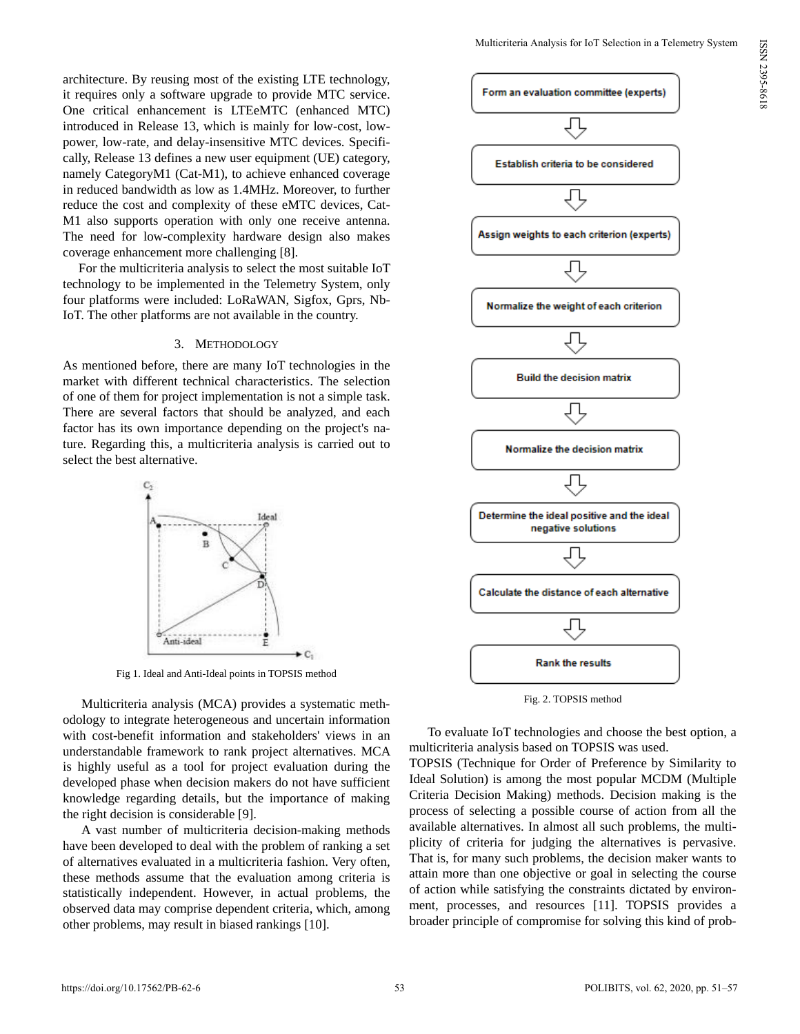architecture. By reusing most of the existing LTE technology, it requires only a software upgrade to provide MTC service. One critical enhancement is LTEeMTC (enhanced MTC) introduced in Release 13, which is mainly for low-cost, lowpower, low-rate, and delay-insensitive MTC devices. Specifically, Release 13 defines a new user equipment (UE) category, namely CategoryM1 (Cat-M1), to achieve enhanced coverage in reduced bandwidth as low as 1.4MHz. Moreover, to further reduce the cost and complexity of these eMTC devices, Cat-M1 also supports operation with only one receive antenna. The need for low-complexity hardware design also makes coverage enhancement more challenging [8].

For the multicriteria analysis to select the most suitable IoT technology to be implemented in the Telemetry System, only four platforms were included: LoRaWAN, Sigfox, Gprs, Nb-IoT. The other platforms are not available in the country.

# 3. METHODOLOGY

As mentioned before, there are many IoT technologies in the market with different technical characteristics. The selection of one of them for project implementation is not a simple task. There are several factors that should be analyzed, and each factor has its own importance depending on the project's nature. Regarding this, a multicriteria analysis is carried out to select the best alternative.



Fig 1. Ideal and Anti-Ideal points in TOPSIS method

Multicriteria analysis (MCA) provides a systematic methodology to integrate heterogeneous and uncertain information with cost-benefit information and stakeholders' views in an understandable framework to rank project alternatives. MCA is highly useful as a tool for project evaluation during the developed phase when decision makers do not have sufficient knowledge regarding details, but the importance of making the right decision is considerable [9].

A vast number of multicriteria decision-making methods have been developed to deal with the problem of ranking a set of alternatives evaluated in a multicriteria fashion. Very often, these methods assume that the evaluation among criteria is statistically independent. However, in actual problems, the observed data may comprise dependent criteria, which, among other problems, may result in biased rankings [10].



Fig. 2. TOPSIS method

To evaluate IoT technologies and choose the best option, a multicriteria analysis based on TOPSIS was used.

TOPSIS (Technique for Order of Preference by Similarity to Ideal Solution) is among the most popular MCDM (Multiple Criteria Decision Making) methods. Decision making is the process of selecting a possible course of action from all the available alternatives. In almost all such problems, the multiplicity of criteria for judging the alternatives is pervasive. That is, for many such problems, the decision maker wants to attain more than one objective or goal in selecting the course of action while satisfying the constraints dictated by environment, processes, and resources [11]. TOPSIS provides a broader principle of compromise for solving this kind of prob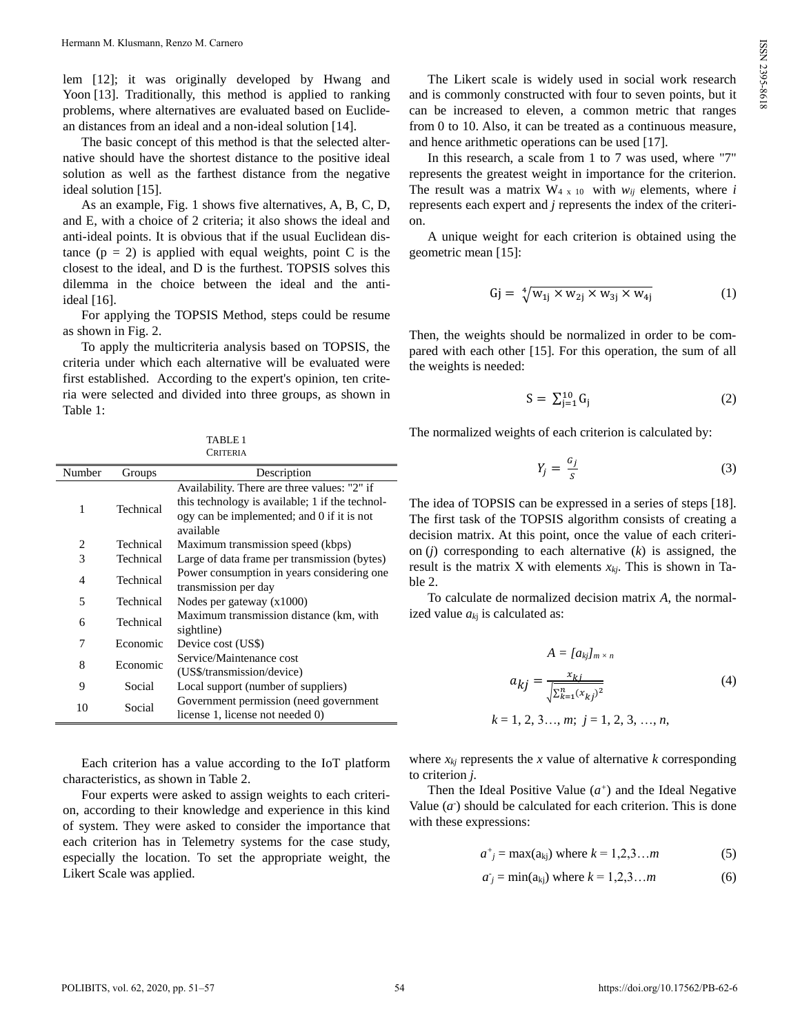lem [12]; it was originally developed by Hwang and Yoon [13]. Traditionally, this method is applied to ranking problems, where alternatives are evaluated based on Euclidean distances from an ideal and a non-ideal solution [14].

The basic concept of this method is that the selected alternative should have the shortest distance to the positive ideal solution as well as the farthest distance from the negative ideal solution [15].

As an example, Fig. 1 shows five alternatives, A, B, C, D, and E, with a choice of 2 criteria; it also shows the ideal and anti-ideal points. It is obvious that if the usual Euclidean distance  $(p = 2)$  is applied with equal weights, point C is the closest to the ideal, and D is the furthest. TOPSIS solves this dilemma in the choice between the ideal and the antiideal [16].

For applying the TOPSIS Method, steps could be resume as shown in Fig. 2.

To apply the multicriteria analysis based on TOPSIS, the criteria under which each alternative will be evaluated were first established. According to the expert's opinion, ten criteria were selected and divided into three groups, as shown in Table 1:

TABLE 1 **CRITERIA** 

| Number         | Groups    | Description                                     |
|----------------|-----------|-------------------------------------------------|
|                |           | Availability. There are three values: "2" if    |
| 1              | Technical | this technology is available; 1 if the technol- |
|                |           | ogy can be implemented; and 0 if it is not      |
|                |           | available                                       |
| 2              | Technical | Maximum transmission speed (kbps)               |
| 3              | Technical | Large of data frame per transmission (bytes)    |
| $\overline{4}$ | Technical | Power consumption in years considering one      |
|                |           | transmission per day                            |
| 5              | Technical | Nodes per gateway $(x1000)$                     |
| 6              | Technical | Maximum transmission distance (km, with         |
|                |           | sightline)                                      |
| 7              | Economic  | Device cost (US\$)                              |
| 8              | Economic  | Service/Maintenance cost                        |
|                |           | (US\$/transmission/device)                      |
| 9              | Social    | Local support (number of suppliers)             |
| 10             | Social    | Government permission (need government          |
|                |           | license 1, license not needed 0)                |

Each criterion has a value according to the IoT platform characteristics, as shown in Table 2.

Four experts were asked to assign weights to each criterion, according to their knowledge and experience in this kind of system. They were asked to consider the importance that each criterion has in Telemetry systems for the case study, especially the location. To set the appropriate weight, the Likert Scale was applied.

The Likert scale is widely used in social work research and is commonly constructed with four to seven points, but it can be increased to eleven, a common metric that ranges from 0 to 10. Also, it can be treated as a continuous measure, and hence arithmetic operations can be used [17].

In this research, a scale from 1 to 7 was used, where "7" represents the greatest weight in importance for the criterion. The result was a matrix  $W_{4x}$  to with  $w_{ii}$  elements, where *i* represents each expert and *j* represents the index of the criterion.

A unique weight for each criterion is obtained using the geometric mean [15]:

$$
Gj = \sqrt[4]{w_{1j} \times w_{2j} \times w_{3j} \times w_{4j}}
$$
 (1)

Then, the weights should be normalized in order to be compared with each other [15]. For this operation, the sum of all the weights is needed:

$$
S = \sum_{j=1}^{10} G_j \tag{2}
$$

The normalized weights of each criterion is calculated by:

$$
Y_j = \frac{G_j}{S} \tag{3}
$$

The idea of TOPSIS can be expressed in a series of steps [18]. The first task of the TOPSIS algorithm consists of creating a decision matrix. At this point, once the value of each criterion (*j*) corresponding to each alternative (*k*) is assigned, the result is the matrix X with elements *xkj*. This is shown in Table 2.

To calculate de normalized decision matrix *A*, the normalized value  $a_{ki}$  is calculated as:

$$
A = [a_{kj}]_{m \times n}
$$
  
\n
$$
a_{kj} = \frac{x_{kj}}{\sqrt{\sum_{k=1}^{n} (x_{kj})^2}}
$$
  
\n
$$
k = 1, 2, 3..., m; j = 1, 2, 3, ..., n,
$$
\n(4)

where  $x_{kj}$  represents the  $x$  value of alternative  $k$  corresponding to criterion *j.*

Then the Ideal Positive Value  $(a^+)$  and the Ideal Negative Value  $(a<sup>2</sup>)$  should be calculated for each criterion. This is done with these expressions:

$$
a^+=\max(a_{kj})
$$
 where  $k = 1, 2, 3, \dots m$  (5)

$$
a_j = \min(a_{kj})
$$
 where  $k = 1, 2, 3, ...m$  (6)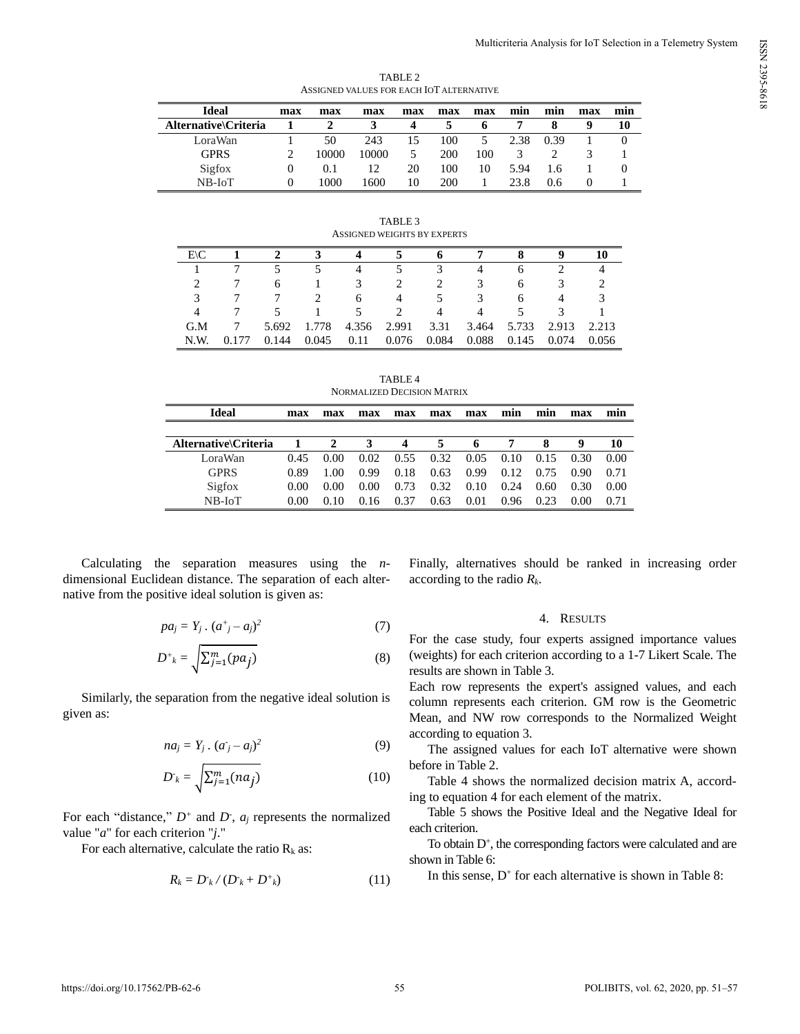| ASSIGNED VALUES FOR EACH IOT ALTERNATIVE |          |       |       |     |     |     |      |      |     |     |
|------------------------------------------|----------|-------|-------|-----|-----|-----|------|------|-----|-----|
| <b>Ideal</b>                             | max      | max   | max   | max | max | max | min  | min  | max | mın |
| Alternative\Criteria                     |          |       |       | 4   |     | Ð   |      | x    | g   | 10  |
| LoraWan                                  |          | 50    | 243   | 15  | 100 | 5   | 2.38 | 0.39 |     |     |
| <b>GPRS</b>                              |          | 10000 | 10000 | 5   | 200 | 100 |      |      |     |     |
| Sigfox                                   | $\theta$ | 0.1   | 12    | 20  | 100 | 10  | 5.94 | 1.6  |     |     |
| $NB$ - $I$ o $T$                         |          | 1000  | 1600  | 10  | 200 |     | 23.8 | 0.6  |     |     |

TABLE 2

TABLE 3 ASSIGNED WEIGHTS BY EXPERTS

| $E\setminus C$ |              |       | 4           |       | Ð     |                | 8            | g     | 10    |
|----------------|--------------|-------|-------------|-------|-------|----------------|--------------|-------|-------|
|                |              |       | 4           |       | 3     | 4              | <sub>0</sub> |       |       |
|                | <sub>6</sub> |       | 3.          | 2     |       | 3              | 6            | 3     |       |
| 3              |              |       | 6           | 4     |       | 3              | 6            | 4     |       |
| 4              |              |       | 5.          | 2     | 4     | $\overline{4}$ |              | 3     |       |
| G.M            | 5.692        | 1.778 | 4.356 2.991 |       | 3.31  | 3.464          | 5.733        | 2.913 | 2.213 |
| N.W.           | 144          | 0.045 | 0.11        | 0.076 | 0.084 | 0.088          | 0.145        | 0.074 | 0.056 |

TABLE 4 NORMALIZED DECISION MATRIX

| Ideal                | max  | max  | max  | max  | max  | max  | mın  | mın  | max  | mın  |
|----------------------|------|------|------|------|------|------|------|------|------|------|
|                      |      |      |      |      |      |      |      |      |      |      |
| Alternative\Criteria |      | 2    | 3    | 4    | 5    | 6    |      | 8    | 9    | 10   |
| LoraWan              | 0.45 | 0.00 | 0.02 | 0.55 | 0.32 | 0.05 | 0.10 | 0.15 | 0.30 | 0.00 |
| <b>GPRS</b>          | 0.89 | 1.00 | 0.99 | 0.18 | 0.63 | 0.99 | 0.12 | 0.75 | 0.90 | 0.71 |
| Sigfox               | 0.00 | 0.00 | 0.00 | 0.73 | 0.32 | 0.10 | 0.24 | 0.60 | 0.30 | 0.00 |
| $NB$ - $IoT$         | 0.00 | 0.10 | 0.16 | 0.37 | 0.63 | 0.01 | 0.96 | 0.23 | 0.00 | 0.71 |

Calculating the separation measures using the *n*dimensional Euclidean distance. The separation of each alternative from the positive ideal solution is given as:

$$
pa_j = Y_j \cdot (a^+_{j} - a_j)^2 \tag{7}
$$

$$
D^+{}_{k} = \sqrt{\sum_{j=1}^{m} (pa_j)}
$$
 (8)

Similarly, the separation from the negative ideal solution is given as:

$$
na_j = Y_j \cdot (a_j - a_j)^2 \tag{9}
$$

$$
D_k = \sqrt{\sum_{j=1}^m (na_j)}
$$
 (10)

For each "distance,"  $D^+$  and  $D^-$ ,  $a_j$  represents the normalized value "*a*" for each criterion "*j*."

For each alternative, calculate the ratio  $R_k$  as:

$$
R_k = D_k / (D_k + D^*)_k \tag{11}
$$

Finally, alternatives should be ranked in increasing order according to the radio *Rk*.

# 4. RESULTS

For the case study, four experts assigned importance values (weights) for each criterion according to a 1-7 Likert Scale. The results are shown in Table 3.

Each row represents the expert's assigned values, and each column represents each criterion. GM row is the Geometric Mean, and NW row corresponds to the Normalized Weight according to equation 3.

The assigned values for each IoT alternative were shown before in Table 2.

Table 4 shows the normalized decision matrix A, according to equation 4 for each element of the matrix.

Table 5 shows the Positive Ideal and the Negative Ideal for each criterion.

To obtain  $D^+$ , the corresponding factors were calculated and are shown in Table 6:

In this sense,  $D^+$  for each alternative is shown in Table 8:

ISSN 2395-8618 ISSN 2395-8618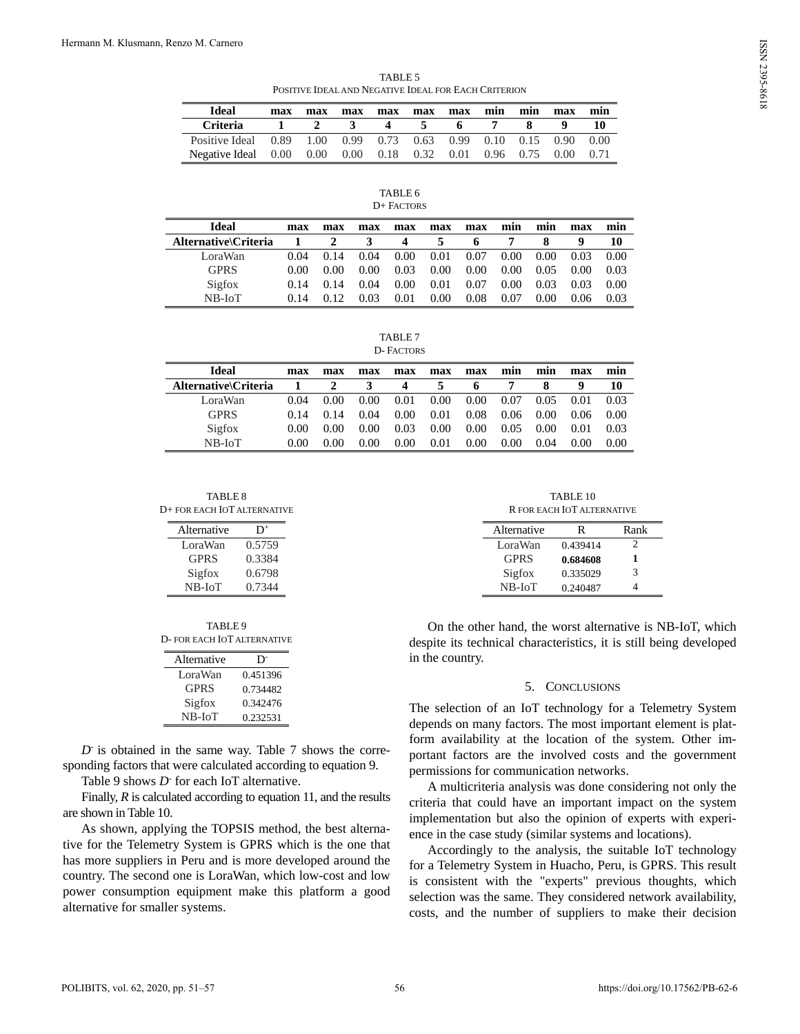TABLE<sub>5</sub> POSITIVE IDEAL AND NEGATIVE IDEAL FOR EACH CRITERION

| <b>Ideal</b>                                           | max | max            | max          | max              | max | max | min | min       | max      | mın  |
|--------------------------------------------------------|-----|----------------|--------------|------------------|-----|-----|-----|-----------|----------|------|
| <b>Criteria</b>                                        |     | $\overline{2}$ | $\mathbf{3}$ | $\boldsymbol{4}$ | -5. | 6.  | -7  | -8        |          |      |
| Positive Ideal 0.89 1.00 0.99 0.73 0.63 0.99 0.10 0.15 |     |                |              |                  |     |     |     |           | 0.90     | 0.00 |
| Negative Ideal 0.00 0.00 0.00 0.18 0.32 0.01           |     |                |              |                  |     |     |     | 0.96 0.75 | $0.00 -$ | 0.71 |

| TABLE 6    |  |
|------------|--|
| D+ FACTORS |  |

| <b>Ideal</b>         | max  | max  | max  | max  | max  | max  | min  | min  | max  | min  |
|----------------------|------|------|------|------|------|------|------|------|------|------|
| Alternative\Criteria |      | 2    |      | 4    | 5    | 6    |      |      | q    | 10   |
| LoraWan              | 0.04 | 0.14 | 0.04 | 0.00 | 0.01 | 0.07 | 0.00 | 0.00 | 0.03 | 0.00 |
| <b>GPRS</b>          | 0.00 | 0.00 | 0.00 | 0.03 | 0.00 | 0.00 | 0.00 | 0.05 | 0.00 | 0.03 |
| Sigfox               | 0.14 | 0.14 | 0.04 | 0.00 | 0.01 | 0.07 | 0.00 | 0.03 | 0.03 | 0.00 |
| NB-IoT               | 0.14 |      | 0.03 | 0.01 | 0.00 | 0.08 | 0.07 | 0.00 | 0.06 | 0.03 |

TABLE 7 D- FACTORS

| <b>Ideal</b>         | max  | max  | max  | max  | max      | max  | mın  | mın  | max  | mın  |
|----------------------|------|------|------|------|----------|------|------|------|------|------|
| Alternative\Criteria |      |      |      | 4    | 5        | o    |      |      | q    | 10   |
| LoraWan              | 0.04 | 0.00 | 0.00 | 0.01 | $0.00\,$ | 0.00 | 0.07 | 0.05 | 0.01 | 0.03 |
| <b>GPRS</b>          | 0.14 | 0.14 | 0.04 | 0.00 | 0.01     | 0.08 | 0.06 | 0.00 | 0.06 | 0.00 |
| Sigfox               | 0.00 | 0.00 | 0.00 | 0.03 | 0.00     | 0.00 | 0.05 | 0.00 | 0.01 | 0.03 |
| $NB$ - $IoT$         | 0.00 | 0.00 | 0.00 | 0.00 | 0.01     | 0.00 | 0.00 | 0.04 | 0.00 | 0.00 |

TABLE 8 D+ FOR EACH IOT ALTERNATIVE

| Alternative  | D+     |
|--------------|--------|
| LoraWan      | 0.5759 |
| <b>GPRS</b>  | 0.3384 |
| Sigfox       | 0.6798 |
| $NB$ - $IoT$ | 0.7344 |

| TABLE 9                     |
|-----------------------------|
| D- FOR EACH IOT ALTERNATIVE |

| Alternative  | D.       |
|--------------|----------|
| LoraWan      | 0.451396 |
| <b>GPRS</b>  | 0.734482 |
| Sigfox       | 0.342476 |
| $NB$ - $IoT$ | 0.232531 |

*D*-is obtained in the same way. Table 7 shows the corresponding factors that were calculated according to equation 9.

Table 9 shows *D*-for each IoT alternative.

Finally, *R* is calculated according to equation 11, and the results are shown in Table 10.

As shown, applying the TOPSIS method, the best alternative for the Telemetry System is GPRS which is the one that has more suppliers in Peru and is more developed around the country. The second one is LoraWan, which low-cost and low power consumption equipment make this platform a good alternative for smaller systems.

TABLE 10 R FOR EACH IOT ALTERNATIVE

| Alternative  | R        | Rank |
|--------------|----------|------|
| LoraWan      | 0.439414 | 2    |
| <b>GPRS</b>  | 0.684608 | 1    |
| Sigfox       | 0.335029 | 3    |
| $NB$ - $IoT$ | 0.240487 |      |

On the other hand, the worst alternative is NB-IoT, which despite its technical characteristics, it is still being developed in the country.

## 5. CONCLUSIONS

The selection of an IoT technology for a Telemetry System depends on many factors. The most important element is platform availability at the location of the system. Other important factors are the involved costs and the government permissions for communication networks.

A multicriteria analysis was done considering not only the criteria that could have an important impact on the system implementation but also the opinion of experts with experience in the case study (similar systems and locations).

Accordingly to the analysis, the suitable IoT technology for a Telemetry System in Huacho, Peru, is GPRS. This result is consistent with the "experts" previous thoughts, which selection was the same. They considered network availability, costs, and the number of suppliers to make their decision